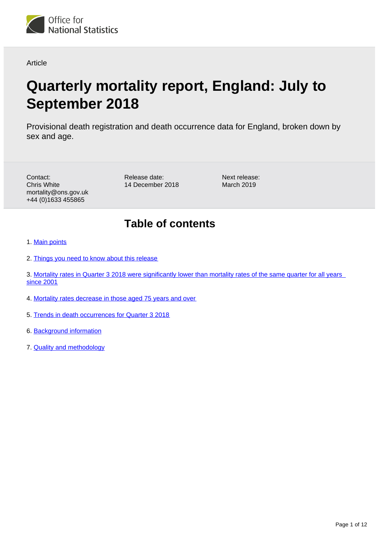

#### Article

# **Quarterly mortality report, England: July to September 2018**

Provisional death registration and death occurrence data for England, broken down by sex and age.

Contact: Chris White mortality@ons.gov.uk +44 (0)1633 455865

Release date: 14 December 2018 Next release: March 2019

## **Table of contents**

- 1. [Main points](#page-1-0)
- 2. [Things you need to know about this release](#page-1-1)
- 3. [Mortality rates in Quarter 3 2018 were significantly lower than mortality rates of the same quarter for all years](#page-1-2)  [since 2001](#page-1-2)
- 4. [Mortality rates decrease in those aged 75 years and over](#page-4-0)
- 5. [Trends in death occurrences for Quarter 3 2018](#page-7-0)
- 6. [Background information](#page-9-0)
- 7. [Quality and methodology](#page-11-0)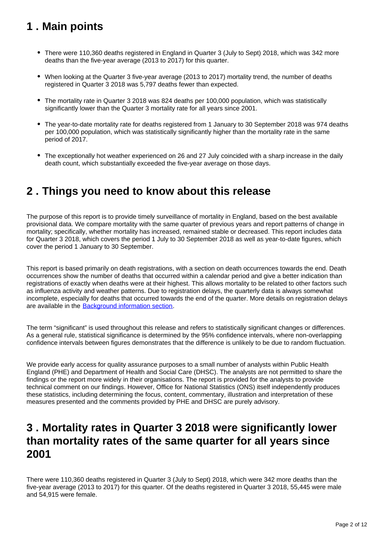## <span id="page-1-0"></span>**1 . Main points**

- There were 110,360 deaths registered in England in Quarter 3 (July to Sept) 2018, which was 342 more deaths than the five-year average (2013 to 2017) for this quarter.
- When looking at the Quarter 3 five-year average (2013 to 2017) mortality trend, the number of deaths registered in Quarter 3 2018 was 5,797 deaths fewer than expected.
- The mortality rate in Quarter 3 2018 was 824 deaths per 100,000 population, which was statistically significantly lower than the Quarter 3 mortality rate for all years since 2001.
- The year-to-date mortality rate for deaths registered from 1 January to 30 September 2018 was 974 deaths per 100,000 population, which was statistically significantly higher than the mortality rate in the same period of 2017.
- The exceptionally hot weather experienced on 26 and 27 July coincided with a sharp increase in the daily death count, which substantially exceeded the five-year average on those days.

## <span id="page-1-1"></span>**2 . Things you need to know about this release**

The purpose of this report is to provide timely surveillance of mortality in England, based on the best available provisional data. We compare mortality with the same quarter of previous years and report patterns of change in mortality; specifically, whether mortality has increased, remained stable or decreased. This report includes data for Quarter 3 2018, which covers the period 1 July to 30 September 2018 as well as year-to-date figures, which cover the period 1 January to 30 September.

This report is based primarily on death registrations, with a section on death occurrences towards the end. Death occurrences show the number of deaths that occurred within a calendar period and give a better indication than registrations of exactly when deaths were at their highest. This allows mortality to be related to other factors such as influenza activity and weather patterns. Due to registration delays, the quarterly data is always somewhat incomplete, especially for deaths that occurred towards the end of the quarter. More details on registration delays are available in the **[Background information section](https://www.ons.gov.uk/peoplepopulationandcommunity/birthsdeathsandmarriages/deaths/articles/quarterlymortalityreports/julytoseptember2018#background-information)**.

The term "significant" is used throughout this release and refers to statistically significant changes or differences. As a general rule, statistical significance is determined by the 95% confidence intervals, where non-overlapping confidence intervals between figures demonstrates that the difference is unlikely to be due to random fluctuation.

We provide early access for quality assurance purposes to a small number of analysts within Public Health England (PHE) and Department of Health and Social Care (DHSC). The analysts are not permitted to share the findings or the report more widely in their organisations. The report is provided for the analysts to provide technical comment on our findings. However, Office for National Statistics (ONS) itself independently produces these statistics, including determining the focus, content, commentary, illustration and interpretation of these measures presented and the comments provided by PHE and DHSC are purely advisory.

### <span id="page-1-2"></span>**3 . Mortality rates in Quarter 3 2018 were significantly lower than mortality rates of the same quarter for all years since 2001**

There were 110,360 deaths registered in Quarter 3 (July to Sept) 2018, which were 342 more deaths than the five-year average (2013 to 2017) for this quarter. Of the deaths registered in Quarter 3 2018, 55,445 were male and 54,915 were female.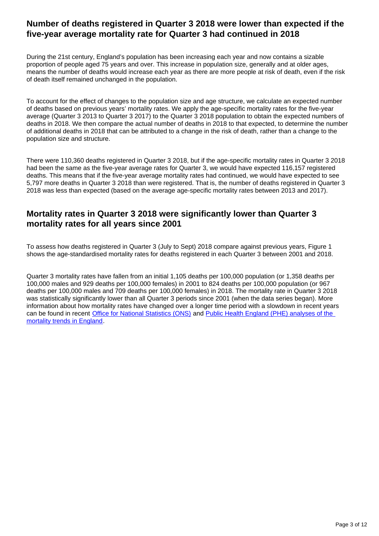### **Number of deaths registered in Quarter 3 2018 were lower than expected if the five-year average mortality rate for Quarter 3 had continued in 2018**

During the 21st century, England's population has been increasing each year and now contains a sizable proportion of people aged 75 years and over. This increase in population size, generally and at older ages, means the number of deaths would increase each year as there are more people at risk of death, even if the risk of death itself remained unchanged in the population.

To account for the effect of changes to the population size and age structure, we calculate an expected number of deaths based on previous years' mortality rates. We apply the age-specific mortality rates for the five-year average (Quarter 3 2013 to Quarter 3 2017) to the Quarter 3 2018 population to obtain the expected numbers of deaths in 2018. We then compare the actual number of deaths in 2018 to that expected, to determine the number of additional deaths in 2018 that can be attributed to a change in the risk of death, rather than a change to the population size and structure.

There were 110,360 deaths registered in Quarter 3 2018, but if the age-specific mortality rates in Quarter 3 2018 had been the same as the five-year average rates for Quarter 3, we would have expected 116,157 registered deaths. This means that if the five-year average mortality rates had continued, we would have expected to see 5,797 more deaths in Quarter 3 2018 than were registered. That is, the number of deaths registered in Quarter 3 2018 was less than expected (based on the average age-specific mortality rates between 2013 and 2017).

### **Mortality rates in Quarter 3 2018 were significantly lower than Quarter 3 mortality rates for all years since 2001**

To assess how deaths registered in Quarter 3 (July to Sept) 2018 compare against previous years, Figure 1 shows the age-standardised mortality rates for deaths registered in each Quarter 3 between 2001 and 2018.

Quarter 3 mortality rates have fallen from an initial 1,105 deaths per 100,000 population (or 1,358 deaths per 100,000 males and 929 deaths per 100,000 females) in 2001 to 824 deaths per 100,000 population (or 967 deaths per 100,000 males and 709 deaths per 100,000 females) in 2018. The mortality rate in Quarter 3 2018 was statistically significantly lower than all Quarter 3 periods since 2001 (when the data series began). More information about how mortality rates have changed over a longer time period with a slowdown in recent years can be found in recent [Office for National Statistics \(ONS\)](https://www.ons.gov.uk/peoplepopulationandcommunity/birthsdeathsandmarriages/deaths/articles/changingtrendsinmortalityinenglandandwales1990to2017/experimentalstatistics) and [Public Health England \(PHE\) analyses of the](https://www.gov.uk/government/publications/recent-trends-in-mortality-in-england-review-and-data-packs)  [mortality trends in England.](https://www.gov.uk/government/publications/recent-trends-in-mortality-in-england-review-and-data-packs)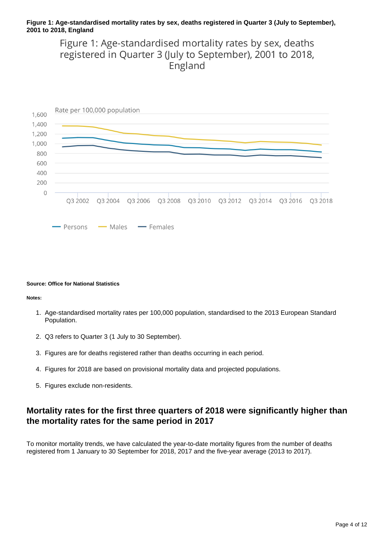#### **Figure 1: Age-standardised mortality rates by sex, deaths registered in Quarter 3 (July to September), 2001 to 2018, England**

Figure 1: Age-standardised mortality rates by sex, deaths registered in Quarter 3 (July to September), 2001 to 2018, England



#### **Source: Office for National Statistics**

**Notes:**

- 1. Age-standardised mortality rates per 100,000 population, standardised to the 2013 European Standard Population.
- 2. Q3 refers to Quarter 3 (1 July to 30 September).
- 3. Figures are for deaths registered rather than deaths occurring in each period.
- 4. Figures for 2018 are based on provisional mortality data and projected populations.
- 5. Figures exclude non-residents.

### **Mortality rates for the first three quarters of 2018 were significantly higher than the mortality rates for the same period in 2017**

To monitor mortality trends, we have calculated the year-to-date mortality figures from the number of deaths registered from 1 January to 30 September for 2018, 2017 and the five-year average (2013 to 2017).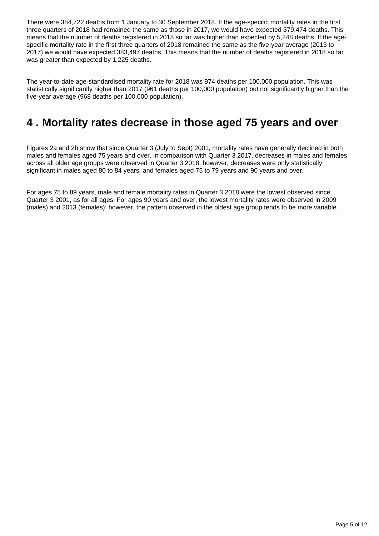There were 384,722 deaths from 1 January to 30 September 2018. If the age-specific mortality rates in the first three quarters of 2018 had remained the same as those in 2017, we would have expected 379,474 deaths. This means that the number of deaths registered in 2018 so far was higher than expected by 5,248 deaths. If the agespecific mortality rate in the first three quarters of 2018 remained the same as the five-year average (2013 to 2017) we would have expected 383,497 deaths. This means that the number of deaths registered in 2018 so far was greater than expected by 1,225 deaths.

The year-to-date age-standardised mortality rate for 2018 was 974 deaths per 100,000 population. This was statistically significantly higher than 2017 (961 deaths per 100,000 population) but not significantly higher than the five-year average (968 deaths per 100,000 population).

## <span id="page-4-0"></span>**4 . Mortality rates decrease in those aged 75 years and over**

Figures 2a and 2b show that since Quarter 3 (July to Sept) 2001, mortality rates have generally declined in both males and females aged 75 years and over. In comparison with Quarter 3 2017, decreases in males and females across all older age groups were observed in Quarter 3 2018, however, decreases were only statistically significant in males aged 80 to 84 years, and females aged 75 to 79 years and 90 years and over.

For ages 75 to 89 years, male and female mortality rates in Quarter 3 2018 were the lowest observed since Quarter 3 2001, as for all ages. For ages 90 years and over, the lowest mortality rates were observed in 2009 (males) and 2013 (females); however, the pattern observed in the oldest age group tends to be more variable.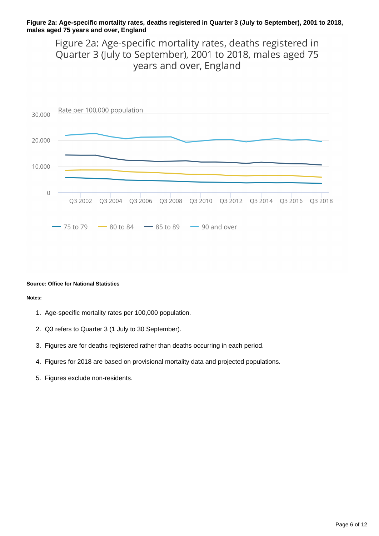#### **Figure 2a: Age-specific mortality rates, deaths registered in Quarter 3 (July to September), 2001 to 2018, males aged 75 years and over, England**

Figure 2a: Age-specific mortality rates, deaths registered in Quarter 3 (July to September), 2001 to 2018, males aged 75 years and over, England



#### **Source: Office for National Statistics**

#### **Notes:**

- 1. Age-specific mortality rates per 100,000 population.
- 2. Q3 refers to Quarter 3 (1 July to 30 September).
- 3. Figures are for deaths registered rather than deaths occurring in each period.
- 4. Figures for 2018 are based on provisional mortality data and projected populations.
- 5. Figures exclude non-residents.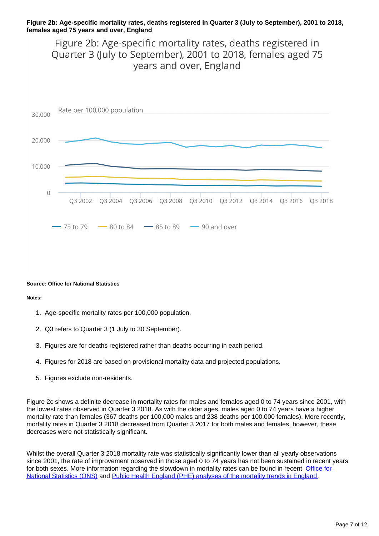#### **Figure 2b: Age-specific mortality rates, deaths registered in Quarter 3 (July to September), 2001 to 2018, females aged 75 years and over, England**

Figure 2b: Age-specific mortality rates, deaths registered in Quarter 3 (July to September), 2001 to 2018, females aged 75 years and over, England



#### **Source: Office for National Statistics**

#### **Notes:**

- 1. Age-specific mortality rates per 100,000 population.
- 2. Q3 refers to Quarter 3 (1 July to 30 September).
- 3. Figures are for deaths registered rather than deaths occurring in each period.
- 4. Figures for 2018 are based on provisional mortality data and projected populations.
- 5. Figures exclude non-residents.

Figure 2c shows a definite decrease in mortality rates for males and females aged 0 to 74 years since 2001, with the lowest rates observed in Quarter 3 2018. As with the older ages, males aged 0 to 74 years have a higher mortality rate than females (367 deaths per 100,000 males and 238 deaths per 100,000 females). More recently, mortality rates in Quarter 3 2018 decreased from Quarter 3 2017 for both males and females, however, these decreases were not statistically significant.

Whilst the overall Quarter 3 2018 mortality rate was statistically significantly lower than all yearly observations since 2001, the rate of improvement observed in those aged 0 to 74 years has not been sustained in recent years for both sexes. More information regarding the slowdown in mortality rates can be found in recent Office for [National Statistics \(ONS\)](https://www.ons.gov.uk/peoplepopulationandcommunity/birthsdeathsandmarriages/deaths/articles/changingtrendsinmortalityinenglandandwales1990to2017/experimentalstatistics) and [Public Health England \(PHE\) analyses of the mortality trends in England](https://www.gov.uk/government/publications/recent-trends-in-mortality-in-england-review-and-data-packs) .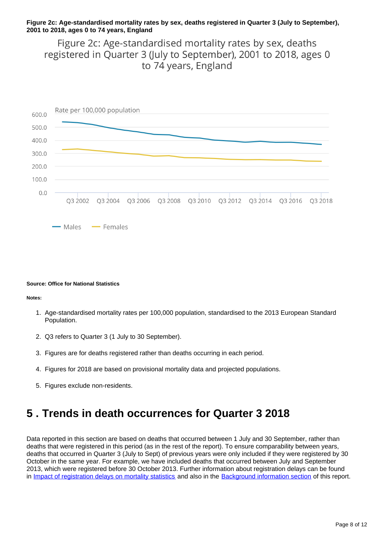#### **Figure 2c: Age-standardised mortality rates by sex, deaths registered in Quarter 3 (July to September), 2001 to 2018, ages 0 to 74 years, England**

Figure 2c: Age-standardised mortality rates by sex, deaths registered in Quarter 3 (July to September), 2001 to 2018, ages 0 to 74 years, England



#### **Source: Office for National Statistics**

**Notes:**

- 1. Age-standardised mortality rates per 100,000 population, standardised to the 2013 European Standard Population.
- 2. Q3 refers to Quarter 3 (1 July to 30 September).
- 3. Figures are for deaths registered rather than deaths occurring in each period.
- 4. Figures for 2018 are based on provisional mortality data and projected populations.
- 5. Figures exclude non-residents.

## <span id="page-7-0"></span>**5 . Trends in death occurrences for Quarter 3 2018**

Data reported in this section are based on deaths that occurred between 1 July and 30 September, rather than deaths that were registered in this period (as in the rest of the report). To ensure comparability between years, deaths that occurred in Quarter 3 (July to Sept) of previous years were only included if they were registered by 30 October in the same year. For example, we have included deaths that occurred between July and September 2013, which were registered before 30 October 2013. Further information about registration delays can be found in [Impact of registration delays on mortality statistics](https://www.ons.gov.uk/peoplepopulationandcommunity/birthsdeathsandmarriages/deaths/methodologies/impactofregistrationdelaysonmortalitystatistics2016) and also in the [Background information section](https://www.ons.gov.uk/peoplepopulationandcommunity/birthsdeathsandmarriages/deaths/articles/quarterlymortalityreports/julytoseptember2018#background-information) of this report.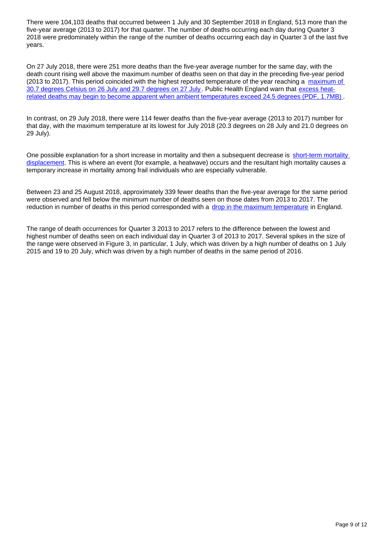There were 104,103 deaths that occurred between 1 July and 30 September 2018 in England, 513 more than the five-year average (2013 to 2017) for that quarter. The number of deaths occurring each day during Quarter 3 2018 were predominately within the range of the number of deaths occurring each day in Quarter 3 of the last five years.

On 27 July 2018, there were 251 more deaths than the five-year average number for the same day, with the death count rising well above the maximum number of deaths seen on that day in the preceding five-year period (2013 to 2017). This period coincided with the highest reported temperature of the year reaching a maximum of [30.7 degrees Celsius on 26 July and 29.7 degrees on 27 July](https://www.metoffice.gov.uk/hadobs/hadcet/cet_max_2018). Public Health England warn that [excess heat](https://assets.publishing.service.gov.uk/government/uploads/system/uploads/attachment_data/file/711503/Heatwave_plan_for_England_2018.pdf)[related deaths may begin to become apparent when ambient temperatures exceed 24.5 degrees \(PDF, 1.7MB\)](https://assets.publishing.service.gov.uk/government/uploads/system/uploads/attachment_data/file/711503/Heatwave_plan_for_England_2018.pdf) .

In contrast, on 29 July 2018, there were 114 fewer deaths than the five-year average (2013 to 2017) number for that day, with the maximum temperature at its lowest for July 2018 (20.3 degrees on 28 July and 21.0 degrees on 29 July).

One possible explanation for a short increase in mortality and then a subsequent decrease is [short-term mortality](https://csm.lshtm.ac.uk/centre-themes/time-series-regression-analysis/)  [displacement](https://csm.lshtm.ac.uk/centre-themes/time-series-regression-analysis/). This is where an event (for example, a heatwave) occurs and the resultant high mortality causes a temporary increase in mortality among frail individuals who are especially vulnerable.

Between 23 and 25 August 2018, approximately 339 fewer deaths than the five-year average for the same period were observed and fell below the minimum number of deaths seen on those dates from 2013 to 2017. The reduction in number of deaths in this period corresponded with a [drop in the maximum temperature](https://www.metoffice.gov.uk/hadobs/hadcet/cet_max_2018) in England.

The range of death occurrences for Quarter 3 2013 to 2017 refers to the difference between the lowest and highest number of deaths seen on each individual day in Quarter 3 of 2013 to 2017. Several spikes in the size of the range were observed in Figure 3, in particular, 1 July, which was driven by a high number of deaths on 1 July 2015 and 19 to 20 July, which was driven by a high number of deaths in the same period of 2016.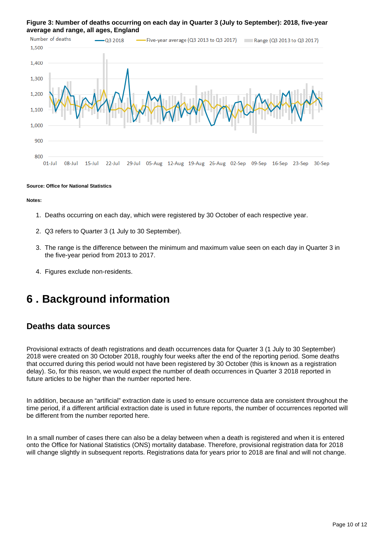#### **Figure 3: Number of deaths occurring on each day in Quarter 3 (July to September): 2018, five-year average and range, all ages, England**



#### **Source: Office for National Statistics**

**Notes:**

- 1. Deaths occurring on each day, which were registered by 30 October of each respective year.
- 2. Q3 refers to Quarter 3 (1 July to 30 September).
- 3. The range is the difference between the minimum and maximum value seen on each day in Quarter 3 in the five-year period from 2013 to 2017.
- 4. Figures exclude non-residents.

## <span id="page-9-0"></span>**6 . Background information**

### **Deaths data sources**

Provisional extracts of death registrations and death occurrences data for Quarter 3 (1 July to 30 September) 2018 were created on 30 October 2018, roughly four weeks after the end of the reporting period. Some deaths that occurred during this period would not have been registered by 30 October (this is known as a registration delay). So, for this reason, we would expect the number of death occurrences in Quarter 3 2018 reported in future articles to be higher than the number reported here.

In addition, because an "artificial" extraction date is used to ensure occurrence data are consistent throughout the time period, if a different artificial extraction date is used in future reports, the number of occurrences reported will be different from the number reported here.

In a small number of cases there can also be a delay between when a death is registered and when it is entered onto the Office for National Statistics (ONS) mortality database. Therefore, provisional registration data for 2018 will change slightly in subsequent reports. Registrations data for years prior to 2018 are final and will not change.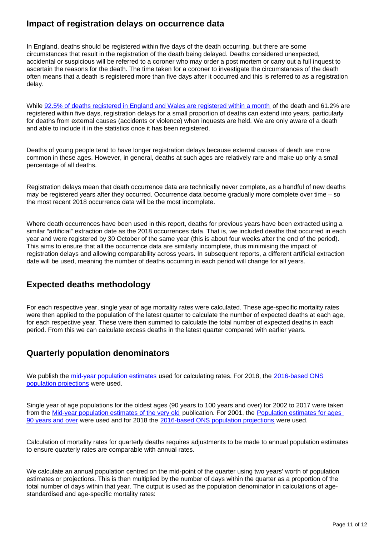### **Impact of registration delays on occurrence data**

In England, deaths should be registered within five days of the death occurring, but there are some circumstances that result in the registration of the death being delayed. Deaths considered unexpected, accidental or suspicious will be referred to a coroner who may order a post mortem or carry out a full inquest to ascertain the reasons for the death. The time taken for a coroner to investigate the circumstances of the death often means that a death is registered more than five days after it occurred and this is referred to as a registration delay.

While [92.5% of deaths registered in England and Wales are registered within a month](https://www.ons.gov.uk/peoplepopulationandcommunity/birthsdeathsandmarriages/deaths/methodologies/impactofregistrationdelaysonmortalitystatistics2016) of the death and 61.2% are registered within five days, registration delays for a small proportion of deaths can extend into years, particularly for deaths from external causes (accidents or violence) when inquests are held. We are only aware of a death and able to include it in the statistics once it has been registered.

Deaths of young people tend to have longer registration delays because external causes of death are more common in these ages. However, in general, deaths at such ages are relatively rare and make up only a small percentage of all deaths.

Registration delays mean that death occurrence data are technically never complete, as a handful of new deaths may be registered years after they occurred. Occurrence data become gradually more complete over time – so the most recent 2018 occurrence data will be the most incomplete.

Where death occurrences have been used in this report, deaths for previous years have been extracted using a similar "artificial" extraction date as the 2018 occurrences data. That is, we included deaths that occurred in each year and were registered by 30 October of the same year (this is about four weeks after the end of the period). This aims to ensure that all the occurrence data are similarly incomplete, thus minimising the impact of registration delays and allowing comparability across years. In subsequent reports, a different artificial extraction date will be used, meaning the number of deaths occurring in each period will change for all years.

### **Expected deaths methodology**

For each respective year, single year of age mortality rates were calculated. These age-specific mortality rates were then applied to the population of the latest quarter to calculate the number of expected deaths at each age, for each respective year. These were then summed to calculate the total number of expected deaths in each period. From this we can calculate excess deaths in the latest quarter compared with earlier years.

### **Quarterly population denominators**

We publish the [mid-year population estimates](https://www.ons.gov.uk/peoplepopulationandcommunity/populationandmigration/populationestimates/datasets/populationestimatesforukenglandandwalesscotlandandnorthernireland) used for calculating rates. For 2018, the 2016-based ONS [population projections](https://www.ons.gov.uk/peoplepopulationandcommunity/populationandmigration/populationprojections/bulletins/nationalpopulationprojections/2016basedstatisticalbulletin/relateddata) were used.

Single year of age populations for the oldest ages (90 years to 100 years and over) for 2002 to 2017 were taken from the [Mid-year population estimates of the very old](https://www.ons.gov.uk/peoplepopulationandcommunity/birthsdeathsandmarriages/ageing/datasets/midyearpopulationestimatesoftheveryoldincludingcentenariansengland) publication. For 2001, the Population estimates for ages [90 years and over](https://www.ons.gov.uk/peoplepopulationandcommunity/populationandmigration/populationestimates/adhocs/006899midyearpopulationestimatesforages90andoverbysingleyearsofagebysexengland2001) were used and for 2018 the [2016-based ONS population projections](https://www.ons.gov.uk/peoplepopulationandcommunity/populationandmigration/populationprojections/bulletins/nationalpopulationprojections/2016basedstatisticalbulletin/relateddata) were used.

Calculation of mortality rates for quarterly deaths requires adjustments to be made to annual population estimates to ensure quarterly rates are comparable with annual rates.

We calculate an annual population centred on the mid-point of the quarter using two years' worth of population estimates or projections. This is then multiplied by the number of days within the quarter as a proportion of the total number of days within that year. The output is used as the population denominator in calculations of agestandardised and age-specific mortality rates: